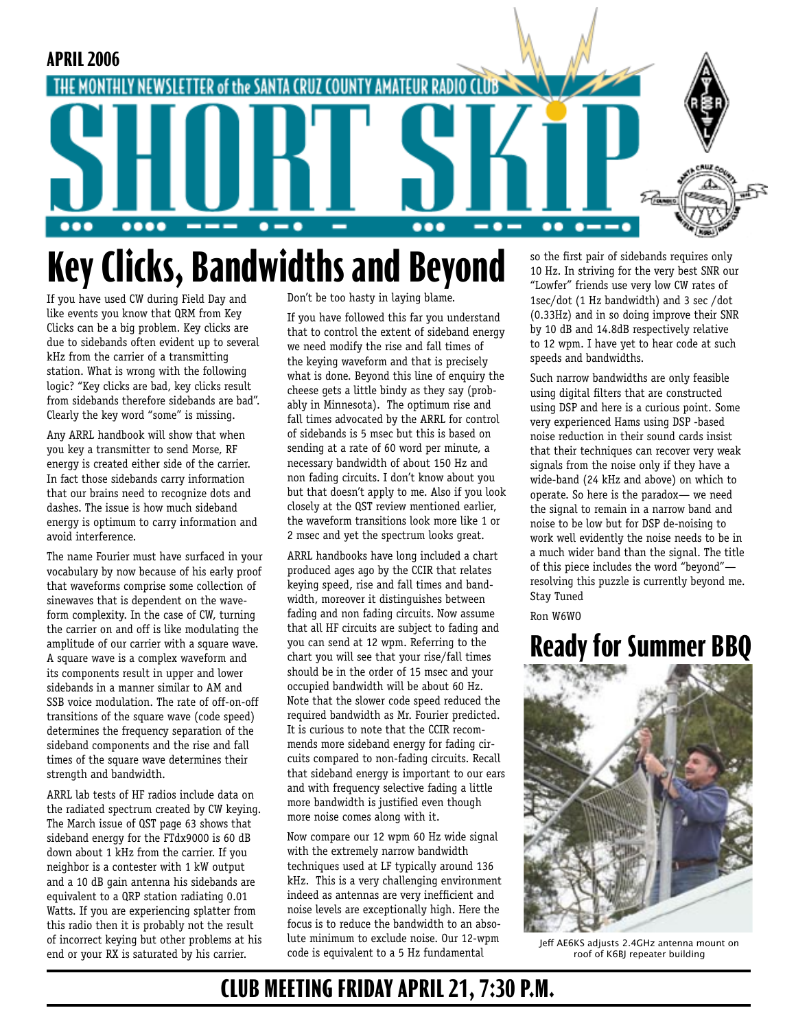

# **Key Clicks, Bandwidths and Beyond**

If you have used CW during Field Day and like events you know that QRM from Key Clicks can be a big problem. Key clicks are due to sidebands often evident up to several kHz from the carrier of a transmitting station. What is wrong with the following logic? "Key clicks are bad, key clicks result from sidebands therefore sidebands are bad". Clearly the key word "some" is missing.

Any ARRL handbook will show that when you key a transmitter to send Morse, RF energy is created either side of the carrier. In fact those sidebands carry information that our brains need to recognize dots and dashes. The issue is how much sideband energy is optimum to carry information and avoid interference.

The name Fourier must have surfaced in your vocabulary by now because of his early proof that waveforms comprise some collection of sinewaves that is dependent on the waveform complexity. In the case of CW, turning the carrier on and off is like modulating the amplitude of our carrier with a square wave. A square wave is a complex waveform and its components result in upper and lower sidebands in a manner similar to AM and SSB voice modulation. The rate of off-on-off transitions of the square wave (code speed) determines the frequency separation of the sideband components and the rise and fall times of the square wave determines their strength and bandwidth.

ARRL lab tests of HF radios include data on the radiated spectrum created by CW keying. The March issue of QST page 63 shows that sideband energy for the FTdx9000 is 60 dB down about 1 kHz from the carrier. If you neighbor is a contester with 1 kW output and a 10 dB gain antenna his sidebands are equivalent to a QRP station radiating 0.01 Watts. If you are experiencing splatter from this radio then it is probably not the result of incorrect keying but other problems at his end or your RX is saturated by his carrier.

Don't be too hasty in laying blame.

If you have followed this far you understand that to control the extent of sideband energy we need modify the rise and fall times of the keying waveform and that is precisely what is done. Beyond this line of enquiry the cheese gets a little bindy as they say (probably in Minnesota). The optimum rise and fall times advocated by the ARRL for control of sidebands is 5 msec but this is based on sending at a rate of 60 word per minute, a necessary bandwidth of about 150 Hz and non fading circuits. I don't know about you but that doesn't apply to me. Also if you look closely at the QST review mentioned earlier, the waveform transitions look more like 1 or 2 msec and yet the spectrum looks great.

ARRL handbooks have long included a chart produced ages ago by the CCIR that relates keying speed, rise and fall times and bandwidth, moreover it distinguishes between fading and non fading circuits. Now assume that all HF circuits are subject to fading and you can send at 12 wpm. Referring to the chart you will see that your rise/fall times should be in the order of 15 msec and your occupied bandwidth will be about 60 Hz. Note that the slower code speed reduced the required bandwidth as Mr. Fourier predicted. It is curious to note that the CCIR recommends more sideband energy for fading circuits compared to non-fading circuits. Recall that sideband energy is important to our ears and with frequency selective fading a little more bandwidth is justified even though more noise comes along with it.

Now compare our 12 wpm 60 Hz wide signal with the extremely narrow bandwidth techniques used at LF typically around 136 kHz. This is a very challenging environment indeed as antennas are very inefficient and noise levels are exceptionally high. Here the focus is to reduce the bandwidth to an absolute minimum to exclude noise. Our 12-wpm code is equivalent to a 5 Hz fundamental

so the first pair of sidebands requires only 10 Hz. In striving for the very best SNR our "Lowfer" friends use very low CW rates of 1sec/dot (1 Hz bandwidth) and 3 sec /dot (0.33Hz) and in so doing improve their SNR by 10 dB and 14.8dB respectively relative to 12 wpm. I have yet to hear code at such speeds and bandwidths.

Such narrow bandwidths are only feasible using digital filters that are constructed using DSP and here is a curious point. Some very experienced Hams using DSP -based noise reduction in their sound cards insist that their techniques can recover very weak signals from the noise only if they have a wide-band (24 kHz and above) on which to operate. So here is the paradox— we need the signal to remain in a narrow band and noise to be low but for DSP de-noising to work well evidently the noise needs to be in a much wider band than the signal. The title of this piece includes the word "beyond" resolving this puzzle is currently beyond me. Stay Tuned

Ron W6WO

## **Ready for Summer BBQ**



Jeff AE6KS adjusts 2.4GHz antenna mount on roof of K6BJ repeater building

### **CLUB MEETING FRIDAY APRIL 21, 7:30 P.M.**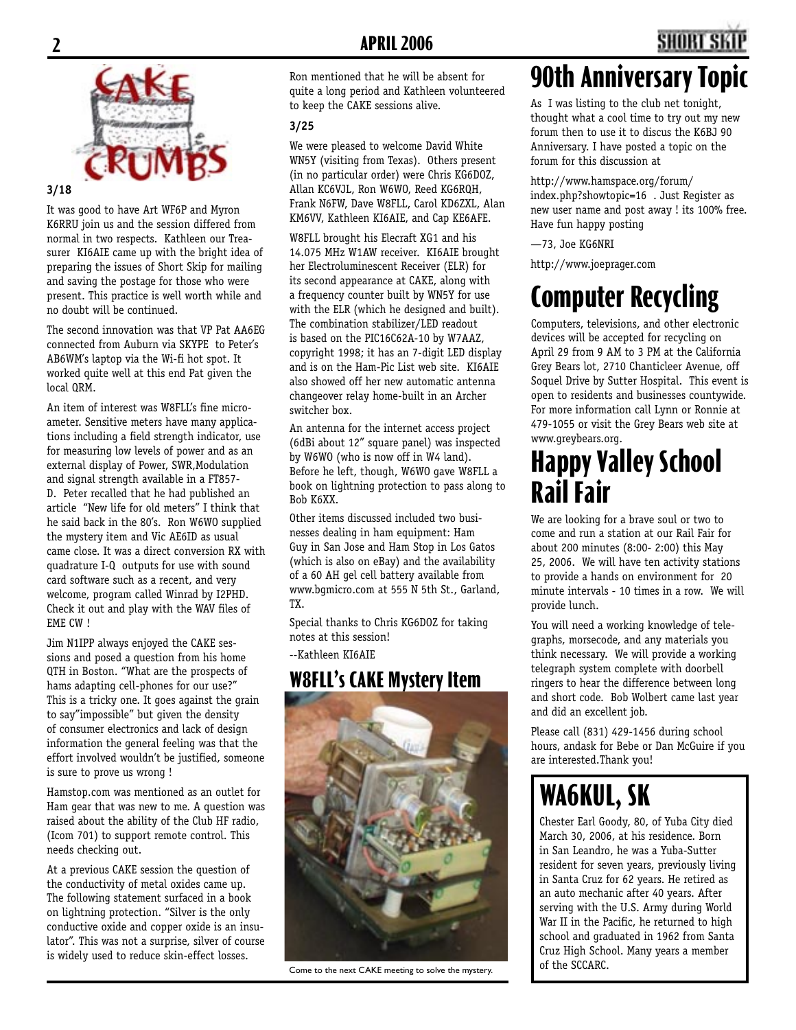

#### **3/18**

It was good to have Art WF6P and Myron K6RRU join us and the session differed from normal in two respects. Kathleen our Treasurer KI6AIE came up with the bright idea of preparing the issues of Short Skip for mailing and saving the postage for those who were present. This practice is well worth while and no doubt will be continued.

The second innovation was that VP Pat AA6EG connected from Auburn via SKYPE to Peter's AB6WM's laptop via the Wi-fi hot spot. It worked quite well at this end Pat given the local QRM.

An item of interest was W8FLL's fine microameter. Sensitive meters have many applications including a field strength indicator, use for measuring low levels of power and as an external display of Power, SWR,Modulation and signal strength available in a FT857- D. Peter recalled that he had published an article "New life for old meters" I think that he said back in the 80's. Ron W6WO supplied the mystery item and Vic AE6ID as usual came close. It was a direct conversion RX with quadrature I-Q outputs for use with sound card software such as a recent, and very welcome, program called Winrad by I2PHD. Check it out and play with the WAV files of EME CW !

Jim N1IPP always enjoyed the CAKE sessions and posed a question from his home QTH in Boston. "What are the prospects of hams adapting cell-phones for our use?" This is a tricky one. It goes against the grain to say"impossible" but given the density of consumer electronics and lack of design information the general feeling was that the effort involved wouldn't be justified, someone is sure to prove us wrong !

Hamstop.com was mentioned as an outlet for Ham gear that was new to me. A question was raised about the ability of the Club HF radio, (Icom 701) to support remote control. This needs checking out.

At a previous CAKE session the question of the conductivity of metal oxides came up. The following statement surfaced in a book on lightning protection. "Silver is the only conductive oxide and copper oxide is an insulator". This was not a surprise, silver of course is widely used to reduce skin-effect losses.

Ron mentioned that he will be absent for quite a long period and Kathleen volunteered to keep the CAKE sessions alive.

#### **3/25**

We were pleased to welcome David White WN5Y (visiting from Texas). Others present (in no particular order) were Chris KG6DOZ, Allan KC6VJL, Ron W6WO, Reed KG6RQH, Frank N6FW, Dave W8FLL, Carol KD6ZXL, Alan KM6VV, Kathleen KI6AIE, and Cap KE6AFE.

W8FLL brought his Elecraft XG1 and his 14.075 MHz W1AW receiver. KI6AIE brought her Electroluminescent Receiver (ELR) for its second appearance at CAKE, along with a frequency counter built by WN5Y for use with the ELR (which he designed and built). The combination stabilizer/LED readout is based on the PIC16C62A-10 by W7AAZ, copyright 1998; it has an 7-digit LED display and is on the Ham-Pic List web site. KI6AIE also showed off her new automatic antenna changeover relay home-built in an Archer switcher box.

An antenna for the internet access project (6dBi about 12" square panel) was inspected by W6WO (who is now off in W4 land). Before he left, though, W6WO gave W8FLL a book on lightning protection to pass along to Bob K6XX.

Other items discussed included two businesses dealing in ham equipment: Ham Guy in San Jose and Ham Stop in Los Gatos (which is also on eBay) and the availability of a 60 AH gel cell battery available from www.bgmicro.com at 555 N 5th St., Garland, TX.

Special thanks to Chris KG6DOZ for taking notes at this session!

--Kathleen KI6AIE

#### **W8FLL's CAKE Mystery Item**



Come to the next CAKE meeting to solve the mystery.

# **90th Anniversary Top**

As I was listing to the club net tonight, thought what a cool time to try out my new forum then to use it to discus the K6BJ 90 Anniversary. I have posted a topic on the forum for this discussion at

http://www.hamspace.org/forum/ index.php?showtopic=16 . Just Register as new user name and post away ! its 100% free. Have fun happy posting

—73, Joe KG6NRI

http://www.joeprager.com

# **Computer Recycling**

Computers, televisions, and other electronic devices will be accepted for recycling on April 29 from 9 AM to 3 PM at the California Grey Bears lot, 2710 Chanticleer Avenue, off Soquel Drive by Sutter Hospital. This event is open to residents and businesses countywide. For more information call Lynn or Ronnie at 479-1055 or visit the Grey Bears web site at www.greybears.org.

## **Happy Valley School Rail Fair**

We are looking for a brave soul or two to come and run a station at our Rail Fair for about 200 minutes (8:00- 2:00) this May 25, 2006. We will have ten activity stations to provide a hands on environment for 20 minute intervals - 10 times in a row. We will provide lunch.

You will need a working knowledge of telegraphs, morsecode, and any materials you think necessary. We will provide a working telegraph system complete with doorbell ringers to hear the difference between long and short code. Bob Wolbert came last year and did an excellent job.

Please call (831) 429-1456 during school hours, andask for Bebe or Dan McGuire if you are interested.Thank you!

# **WA6KUL, SK**

Chester Earl Goody, 80, of Yuba City died March 30, 2006, at his residence. Born in San Leandro, he was a Yuba-Sutter resident for seven years, previously living in Santa Cruz for 62 years. He retired as an auto mechanic after 40 years. After serving with the U.S. Army during World War II in the Pacific, he returned to high school and graduated in 1962 from Santa Cruz High School. Many years a member of the SCCARC.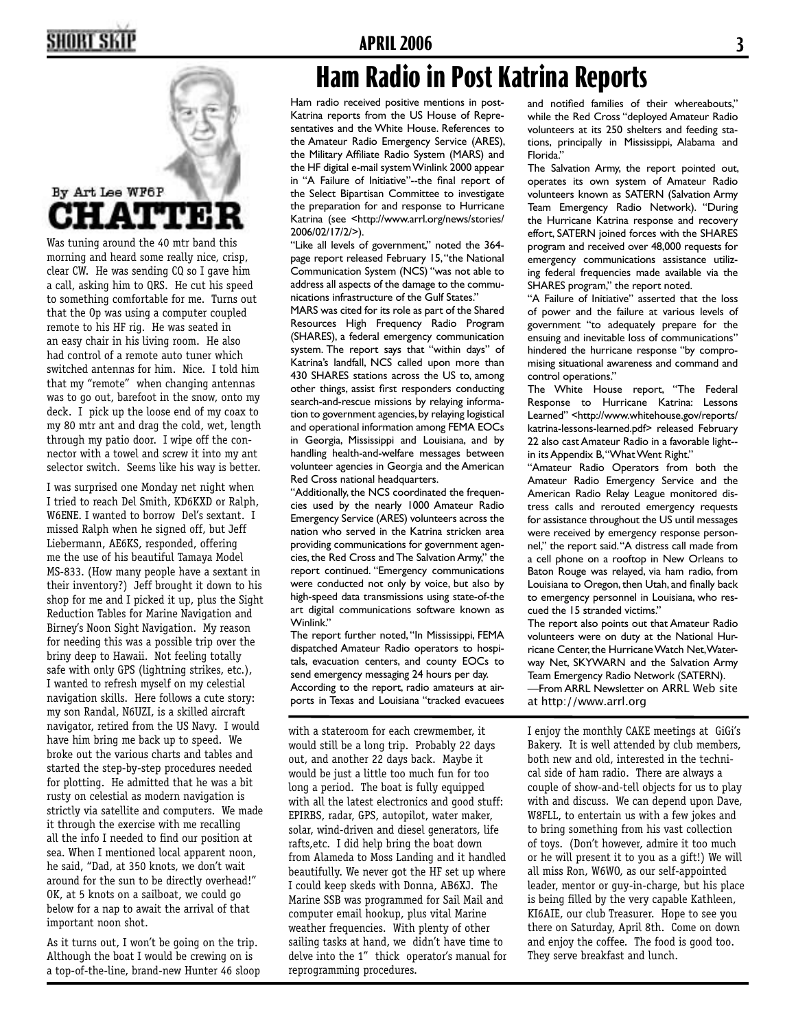# **2 APRIL 2006 3**



Was tuning around the 40 mtr band this morning and heard some really nice, crisp, clear CW. He was sending CQ so I gave him a call, asking him to QRS. He cut his speed to something comfortable for me. Turns out that the Op was using a computer coupled remote to his HF rig. He was seated in an easy chair in his living room. He also had control of a remote auto tuner which switched antennas for him. Nice. I told him that my "remote" when changing antennas was to go out, barefoot in the snow, onto my deck. I pick up the loose end of my coax to my 80 mtr ant and drag the cold, wet, length through my patio door. I wipe off the connector with a towel and screw it into my ant selector switch. Seems like his way is better.

I was surprised one Monday net night when I tried to reach Del Smith, KD6KXD or Ralph, W6ENE. I wanted to borrow Del's sextant. I missed Ralph when he signed off, but Jeff Liebermann, AE6KS, responded, offering me the use of his beautiful Tamaya Model MS-833. (How many people have a sextant in their inventory?) Jeff brought it down to his shop for me and I picked it up, plus the Sight Reduction Tables for Marine Navigation and Birney's Noon Sight Navigation. My reason for needing this was a possible trip over the briny deep to Hawaii. Not feeling totally safe with only GPS (lightning strikes, etc.), I wanted to refresh myself on my celestial navigation skills. Here follows a cute story: my son Randal, N6UZI, is a skilled aircraft navigator, retired from the US Navy. I would have him bring me back up to speed. We broke out the various charts and tables and started the step-by-step procedures needed for plotting. He admitted that he was a bit rusty on celestial as modern navigation is strictly via satellite and computers. We made it through the exercise with me recalling all the info I needed to find our position at sea. When I mentioned local apparent noon, he said, "Dad, at 350 knots, we don't wait around for the sun to be directly overhead!" OK, at 5 knots on a sailboat, we could go below for a nap to await the arrival of that important noon shot.

As it turns out, I won't be going on the trip. Although the boat I would be crewing on is a top-of-the-line, brand-new Hunter 46 sloop

## **Ham Radio in Post Katrina Reports**

Ham radio received positive mentions in post-Katrina reports from the US House of Representatives and the White House. References to the Amateur Radio Emergency Service (ARES), the Military Affiliate Radio System (MARS) and the HF digital e-mail system Winlink 2000 appear in "A Failure of Initiative"--the final report of the Select Bipartisan Committee to investigate the preparation for and response to Hurricane Katrina (see <http://www.arrl.org/news/stories/ 2006/02/17/2/>).

"Like all levels of government," noted the 364 page report released February 15, "the National Communication System (NCS) "was not able to address all aspects of the damage to the communications infrastructure of the Gulf States."

MARS was cited for its role as part of the Shared Resources High Frequency Radio Program (SHARES), a federal emergency communication system. The report says that "within days" of Katrina's landfall, NCS called upon more than 430 SHARES stations across the US to, among other things, assist first responders conducting search-and-rescue missions by relaying information to government agencies, by relaying logistical and operational information among FEMA EOCs in Georgia, Mississippi and Louisiana, and by handling health-and-welfare messages between volunteer agencies in Georgia and the American Red Cross national headquarters.

"Additionally, the NCS coordinated the frequencies used by the nearly 1000 Amateur Radio Emergency Service (ARES) volunteers across the nation who served in the Katrina stricken area providing communications for government agencies, the Red Cross and The Salvation Army," the report continued. "Emergency communications were conducted not only by voice, but also by high-speed data transmissions using state-of-the art digital communications software known as Winlink."

The report further noted, "In Mississippi, FEMA dispatched Amateur Radio operators to hospitals, evacuation centers, and county EOCs to send emergency messaging 24 hours per day. According to the report, radio amateurs at airports in Texas and Louisiana "tracked evacuees

with a stateroom for each crewmember, it would still be a long trip. Probably 22 days out, and another 22 days back. Maybe it would be just a little too much fun for too long a period. The boat is fully equipped with all the latest electronics and good stuff: EPIRBS, radar, GPS, autopilot, water maker, solar, wind-driven and diesel generators, life rafts,etc. I did help bring the boat down from Alameda to Moss Landing and it handled beautifully. We never got the HF set up where I could keep skeds with Donna, AB6XJ. The Marine SSB was programmed for Sail Mail and computer email hookup, plus vital Marine weather frequencies. With plenty of other sailing tasks at hand, we didn't have time to delve into the 1" thick operator's manual for reprogramming procedures.

and notified families of their whereabouts," while the Red Cross "deployed Amateur Radio volunteers at its 250 shelters and feeding stations, principally in Mississippi, Alabama and Florida."

The Salvation Army, the report pointed out, operates its own system of Amateur Radio volunteers known as SATERN (Salvation Army Team Emergency Radio Network). "During the Hurricane Katrina response and recovery effort, SATERN joined forces with the SHARES program and received over 48,000 requests for emergency communications assistance utilizing federal frequencies made available via the SHARES program," the report noted.

"A Failure of Initiative" asserted that the loss of power and the failure at various levels of government "to adequately prepare for the ensuing and inevitable loss of communications" hindered the hurricane response "by compromising situational awareness and command and control operations."

The White House report, "The Federal Response to Hurricane Katrina: Lessons Learned" <http://www.whitehouse.gov/reports/ katrina-lessons-learned.pdf> released February 22 also cast Amateur Radio in a favorable light- in its Appendix B, "What Went Right."

"Amateur Radio Operators from both the Amateur Radio Emergency Service and the American Radio Relay League monitored distress calls and rerouted emergency requests for assistance throughout the US until messages were received by emergency response personnel," the report said. "A distress call made from a cell phone on a rooftop in New Orleans to Baton Rouge was relayed, via ham radio, from Louisiana to Oregon, then Utah, and finally back to emergency personnel in Louisiana, who rescued the 15 stranded victims."

The report also points out that Amateur Radio volunteers were on duty at the National Hurricane Center, the Hurricane Watch Net, Waterway Net, SKYWARN and the Salvation Army Team Emergency Radio Network (SATERN). —From ARRL Newsletter on ARRL Web site at http://www.arrl.org

I enjoy the monthly CAKE meetings at GiGi's Bakery. It is well attended by club members, both new and old, interested in the technical side of ham radio. There are always a couple of show-and-tell objects for us to play with and discuss. We can depend upon Dave, W8FLL, to entertain us with a few jokes and to bring something from his vast collection of toys. (Don't however, admire it too much or he will present it to you as a gift!) We will all miss Ron, W6WO, as our self-appointed leader, mentor or guy-in-charge, but his place is being filled by the very capable Kathleen, KI6AIE, our club Treasurer. Hope to see you there on Saturday, April 8th. Come on down and enjoy the coffee. The food is good too. They serve breakfast and lunch.